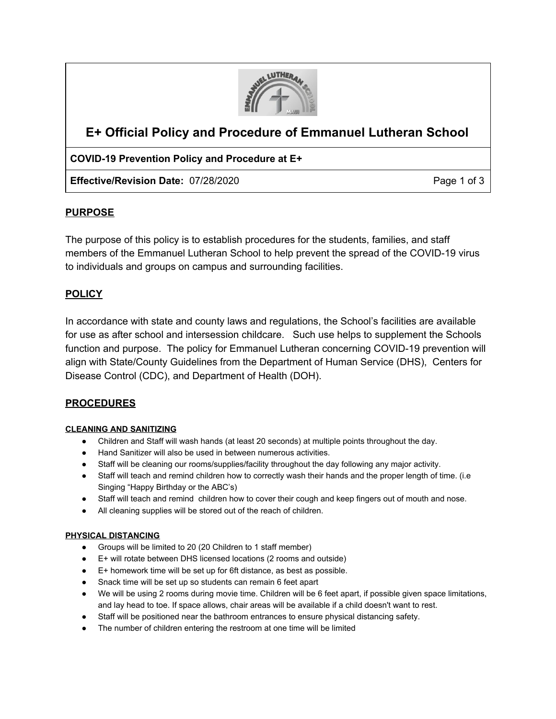

# **E+ Official Policy and Procedure of Emmanuel Lutheran School**

# **COVID-19 Prevention Policy and Procedure at E+**

**Effective/Revision Date:** 07/28/2020 **Page 1 of 3** Page 1 of 3

# **PURPOSE**

The purpose of this policy is to establish procedures for the students, families, and staff members of the Emmanuel Lutheran School to help prevent the spread of the COVID-19 virus to individuals and groups on campus and surrounding facilities.

# **POLICY**

In accordance with state and county laws and regulations, the School's facilities are available for use as after school and intersession childcare. Such use helps to supplement the Schools function and purpose. The policy for Emmanuel Lutheran concerning COVID-19 prevention will align with State/County Guidelines from the Department of Human Service (DHS), Centers for Disease Control (CDC), and Department of Health (DOH).

# **PROCEDURES**

## **CLEANING AND SANITIZING**

- Children and Staff will wash hands (at least 20 seconds) at multiple points throughout the day.
- Hand Sanitizer will also be used in between numerous activities.
- Staff will be cleaning our rooms/supplies/facility throughout the day following any major activity.
- Staff will teach and remind children how to correctly wash their hands and the proper length of time. (i.e Singing "Happy Birthday or the ABC's)
- Staff will teach and remind children how to cover their cough and keep fingers out of mouth and nose.
- All cleaning supplies will be stored out of the reach of children.

## **PHYSICAL DISTANCING**

- Groups will be limited to 20 (20 Children to 1 staff member)
- E+ will rotate between DHS licensed locations (2 rooms and outside)
- E+ homework time will be set up for 6ft distance, as best as possible.
- Snack time will be set up so students can remain 6 feet apart
- We will be using 2 rooms during movie time. Children will be 6 feet apart, if possible given space limitations, and lay head to toe. If space allows, chair areas will be available if a child doesn't want to rest.
- Staff will be positioned near the bathroom entrances to ensure physical distancing safety.
- The number of children entering the restroom at one time will be limited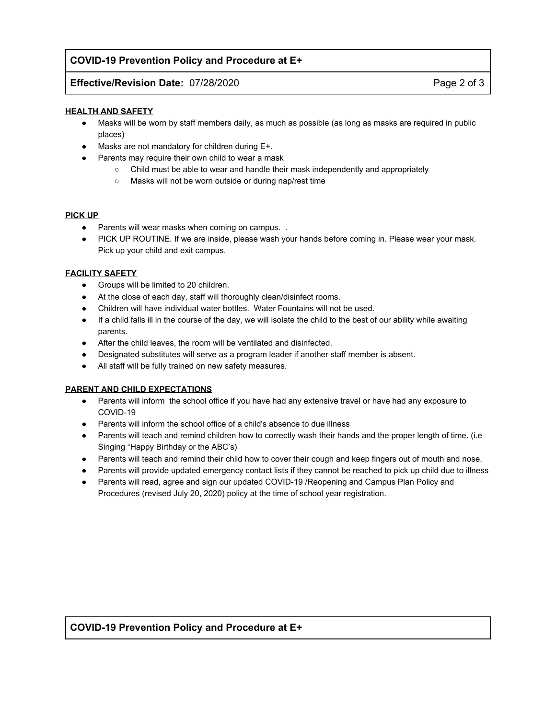## **COVID-19 Prevention Policy and Procedure at E+**

## **Effective/Revision Date:** 07/28/2020 **Page 2 of 3**

#### **HEALTH AND SAFETY**

- Masks will be worn by staff members daily, as much as possible (as long as masks are required in public places)
- Masks are not mandatory for children during E+.
- Parents may require their own child to wear a mask
	- Child must be able to wear and handle their mask independently and appropriately
	- Masks will not be worn outside or during nap/rest time

#### **PICK UP**

- Parents will wear masks when coming on campus. .
- PICK UP ROUTINE. If we are inside, please wash your hands before coming in. Please wear your mask. Pick up your child and exit campus.

## **FACILITY SAFETY**

- Groups will be limited to 20 children.
- At the close of each day, staff will thoroughly clean/disinfect rooms.
- Children will have individual water bottles. Water Fountains will not be used.
- If a child falls ill in the course of the day, we will isolate the child to the best of our ability while awaiting parents.
- After the child leaves, the room will be ventilated and disinfected.
- Designated substitutes will serve as a program leader if another staff member is absent.
- All staff will be fully trained on new safety measures.

## **PARENT AND CHILD EXPECTATIONS**

- Parents will inform the school office if you have had any extensive travel or have had any exposure to COVID-19
- Parents will inform the school office of a child's absence to due illness
- Parents will teach and remind children how to correctly wash their hands and the proper length of time. (i.e Singing "Happy Birthday or the ABC's)
- Parents will teach and remind their child how to cover their cough and keep fingers out of mouth and nose.
- Parents will provide updated emergency contact lists if they cannot be reached to pick up child due to illness
- Parents will read, agree and sign our updated COVID-19 / Reopening and Campus Plan Policy and Procedures (revised July 20, 2020) policy at the time of school year registration.

## **COVID-19 Prevention Policy and Procedure at E+**